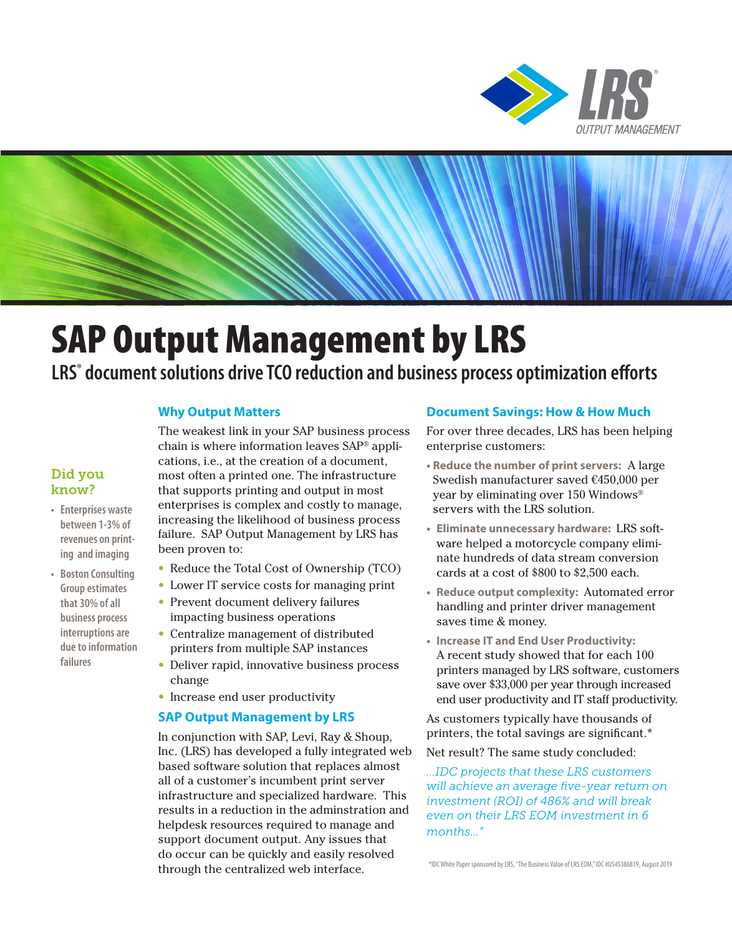

# SAP Output Management by LRS

## **LRS® document solutions drive TCO reduction and business process optimization efforts**

#### **Why Output Matters**

The weakest link in your SAP business process chain is where information leaves SAP® applications, i.e., at the creation of a document, most often a printed one. The infrastructure that supports printing and output in most enterprises is complex and costly to manage, increasing the likelihood of business process failure. SAP Output Management by LRS has been proven to:

- Reduce the Total Cost of Ownership (TCO)
- Lower IT service costs for managing print
- Prevent document delivery failures impacting business operations
- Centralize management of distributed printers from multiple SAP instances
- Deliver rapid, innovative business process change
- Increase end user productivity

#### **SAP Output Management by LRS**

In conjunction with SAP, Levi, Ray & Shoup, Inc. (LRS) has developed a fully integrated web based software solution that replaces almost all of a customer's incumbent print server infrastructure and specialized hardware. This results in a reduction in the adminstration and helpdesk resources required to manage and support document output. Any issues that do occur can be quickly and easily resolved through the centralized web interface.

#### **Document Savings: How & How Much**

For over three decades, LRS has been helping enterprise customers:

- **Reduce the number of print servers:** A large Swedish manufacturer saved €450,000 per year by eliminating over 150 Windows® servers with the LRS solution.
- **Eliminate unnecessary hardware:** LRS software helped a motorcycle company eliminate hundreds of data stream conversion cards at a cost of \$800 to \$2,500 each.
- **Reduce output complexity:** Automated error handling and printer driver management saves time & money.
- **Increase IT and End User Productivity:** A recent study showed that for each 100 printers managed by LRS software, customers save over \$33,000 per year through increased end user productivity and IT staff productivity.

As customers typically have thousands of printers, the total savings are significant.\*

Net result? The same study concluded:

*...IDC projects that these LRS customers will achieve an average five-year return on investment (ROI) of 486% and will break even on their LRS EOM investment in 6 months..."* 

\*IDC White Paper sponsored by LRS, "The Business Value of LRS EOM," IDC #US45386819, August 2019

#### Did you know?

- **Enterprises waste between 1-3% of revenues on printing and imaging**
- **Boston Consulting Group estimates that 30% of all business process interruptions are due to information failures**